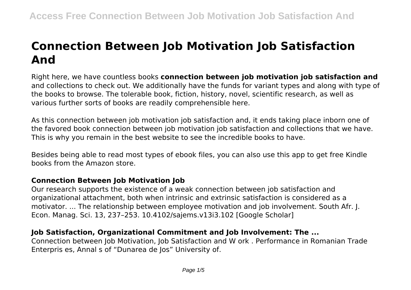# **Connection Between Job Motivation Job Satisfaction And**

Right here, we have countless books **connection between job motivation job satisfaction and** and collections to check out. We additionally have the funds for variant types and along with type of the books to browse. The tolerable book, fiction, history, novel, scientific research, as well as various further sorts of books are readily comprehensible here.

As this connection between job motivation job satisfaction and, it ends taking place inborn one of the favored book connection between job motivation job satisfaction and collections that we have. This is why you remain in the best website to see the incredible books to have.

Besides being able to read most types of ebook files, you can also use this app to get free Kindle books from the Amazon store.

# **Connection Between Job Motivation Job**

Our research supports the existence of a weak connection between job satisfaction and organizational attachment, both when intrinsic and extrinsic satisfaction is considered as a motivator. ... The relationship between employee motivation and job involvement. South Afr. J. Econ. Manag. Sci. 13, 237–253. 10.4102/sajems.v13i3.102 [Google Scholar]

# **Job Satisfaction, Organizational Commitment and Job Involvement: The ...**

Connection between Job Motivation, Job Satisfaction and W ork . Performance in Romanian Trade Enterpris es, Annal s of "Dunarea de Jos" University of.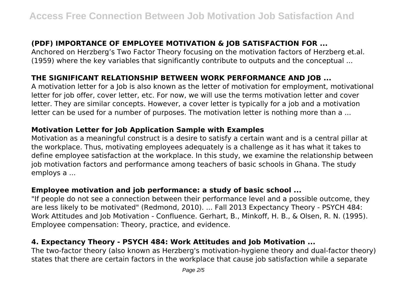# **(PDF) IMPORTANCE OF EMPLOYEE MOTIVATION & JOB SATISFACTION FOR ...**

Anchored on Herzberg's Two Factor Theory focusing on the motivation factors of Herzberg et.al. (1959) where the key variables that significantly contribute to outputs and the conceptual ...

# **THE SIGNIFICANT RELATIONSHIP BETWEEN WORK PERFORMANCE AND JOB ...**

A motivation letter for a Job is also known as the letter of motivation for employment, motivational letter for job offer, cover letter, etc. For now, we will use the terms motivation letter and cover letter. They are similar concepts. However, a cover letter is typically for a job and a motivation letter can be used for a number of purposes. The motivation letter is nothing more than a ...

## **Motivation Letter for Job Application Sample with Examples**

Motivation as a meaningful construct is a desire to satisfy a certain want and is a central pillar at the workplace. Thus, motivating employees adequately is a challenge as it has what it takes to define employee satisfaction at the workplace. In this study, we examine the relationship between job motivation factors and performance among teachers of basic schools in Ghana. The study employs a ...

## **Employee motivation and job performance: a study of basic school ...**

"If people do not see a connection between their performance level and a possible outcome, they are less likely to be motivated" (Redmond, 2010). ... Fall 2013 Expectancy Theory - PSYCH 484: Work Attitudes and Job Motivation - Confluence. Gerhart, B., Minkoff, H. B., & Olsen, R. N. (1995). Employee compensation: Theory, practice, and evidence.

# **4. Expectancy Theory - PSYCH 484: Work Attitudes and Job Motivation ...**

The two-factor theory (also known as Herzberg's motivation-hygiene theory and dual-factor theory) states that there are certain factors in the workplace that cause job satisfaction while a separate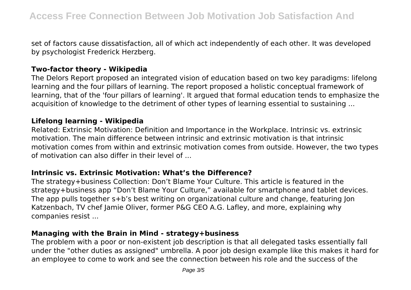set of factors cause dissatisfaction, all of which act independently of each other. It was developed by psychologist Frederick Herzberg.

### **Two-factor theory - Wikipedia**

The Delors Report proposed an integrated vision of education based on two key paradigms: lifelong learning and the four pillars of learning. The report proposed a holistic conceptual framework of learning, that of the 'four pillars of learning'. It argued that formal education tends to emphasize the acquisition of knowledge to the detriment of other types of learning essential to sustaining ...

#### **Lifelong learning - Wikipedia**

Related: Extrinsic Motivation: Definition and Importance in the Workplace. Intrinsic vs. extrinsic motivation. The main difference between intrinsic and extrinsic motivation is that intrinsic motivation comes from within and extrinsic motivation comes from outside. However, the two types of motivation can also differ in their level of ...

#### **Intrinsic vs. Extrinsic Motivation: What's the Difference?**

The strategy+business Collection: Don't Blame Your Culture. This article is featured in the strategy+business app "Don't Blame Your Culture," available for smartphone and tablet devices. The app pulls together s+b's best writing on organizational culture and change, featuring Jon Katzenbach, TV chef Jamie Oliver, former P&G CEO A.G. Lafley, and more, explaining why companies resist ...

#### **Managing with the Brain in Mind - strategy+business**

The problem with a poor or non-existent job description is that all delegated tasks essentially fall under the "other duties as assigned" umbrella. A poor job design example like this makes it hard for an employee to come to work and see the connection between his role and the success of the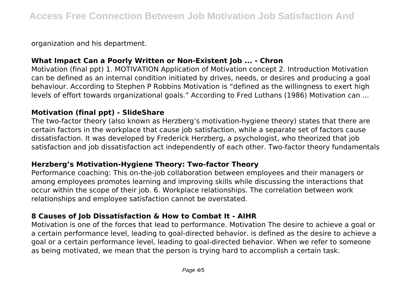organization and his department.

## **What Impact Can a Poorly Written or Non-Existent Job ... - Chron**

Motivation (final ppt) 1. MOTIVATION Application of Motivation concept 2. Introduction Motivation can be defined as an internal condition initiated by drives, needs, or desires and producing a goal behaviour. According to Stephen P Robbins Motivation is "defined as the willingness to exert high levels of effort towards organizational goals." According to Fred Luthans (1986) Motivation can ...

#### **Motivation (final ppt) - SlideShare**

The two-factor theory (also known as Herzberg's motivation-hygiene theory) states that there are certain factors in the workplace that cause job satisfaction, while a separate set of factors cause dissatisfaction. It was developed by Frederick Herzberg, a psychologist, who theorized that job satisfaction and job dissatisfaction act independently of each other. Two-factor theory fundamentals

### **Herzberg's Motivation-Hygiene Theory: Two-factor Theory**

Performance coaching: This on-the-job collaboration between employees and their managers or among employees promotes learning and improving skills while discussing the interactions that occur within the scope of their job. 6. Workplace relationships. The correlation between work relationships and employee satisfaction cannot be overstated.

## **8 Causes of Job Dissatisfaction & How to Combat It - AIHR**

Motivation is one of the forces that lead to performance. Motivation The desire to achieve a goal or a certain performance level, leading to goal-directed behavior. is defined as the desire to achieve a goal or a certain performance level, leading to goal-directed behavior. When we refer to someone as being motivated, we mean that the person is trying hard to accomplish a certain task.